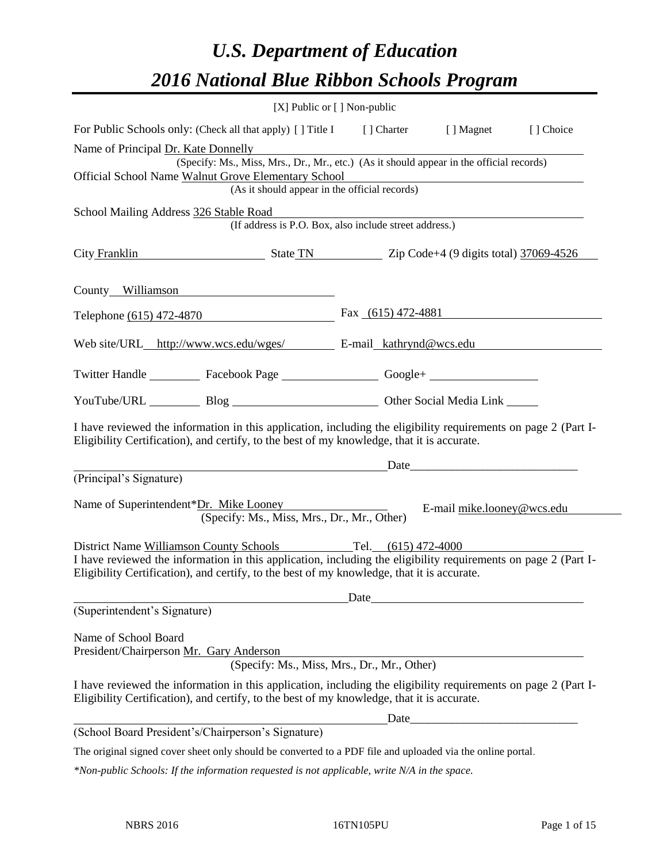# *U.S. Department of Education 2016 National Blue Ribbon Schools Program*

|                                                                                                                                                                                                              | $[X]$ Public or $[ \ ]$ Non-public |                                                                                                                                                                                                                                |           |
|--------------------------------------------------------------------------------------------------------------------------------------------------------------------------------------------------------------|------------------------------------|--------------------------------------------------------------------------------------------------------------------------------------------------------------------------------------------------------------------------------|-----------|
| For Public Schools only: (Check all that apply) [] Title I [] Charter [] Magnet                                                                                                                              |                                    |                                                                                                                                                                                                                                | [] Choice |
| Name of Principal Dr. Kate Donnelly                                                                                                                                                                          |                                    |                                                                                                                                                                                                                                |           |
| (Specify: Ms., Miss, Mrs., Dr., Mr., etc.) (As it should appear in the official records)                                                                                                                     |                                    |                                                                                                                                                                                                                                |           |
| Official School Name Walnut Grove Elementary School<br>(As it should appear in the official records)                                                                                                         |                                    |                                                                                                                                                                                                                                |           |
|                                                                                                                                                                                                              |                                    |                                                                                                                                                                                                                                |           |
| School Mailing Address 326 Stable Road<br>(If address is P.O. Box, also include street address.)                                                                                                             |                                    |                                                                                                                                                                                                                                |           |
|                                                                                                                                                                                                              |                                    |                                                                                                                                                                                                                                |           |
| City Franklin State TN Zip Code+4 (9 digits total) 37069-4526                                                                                                                                                |                                    |                                                                                                                                                                                                                                |           |
|                                                                                                                                                                                                              |                                    |                                                                                                                                                                                                                                |           |
| County Williamson                                                                                                                                                                                            |                                    |                                                                                                                                                                                                                                |           |
| Telephone $(615)$ 472-4870                                                                                                                                                                                   | Fax $(615)$ 472-4881               |                                                                                                                                                                                                                                |           |
|                                                                                                                                                                                                              |                                    |                                                                                                                                                                                                                                |           |
| Web site/URL_http://www.wcs.edu/wges/ E-mail_kathrynd@wcs.edu                                                                                                                                                |                                    |                                                                                                                                                                                                                                |           |
| Twitter Handle ____________ Facebook Page _____________________Google+ _____________________________                                                                                                         |                                    |                                                                                                                                                                                                                                |           |
| YouTube/URL Blog Blog Discount Other Social Media Link                                                                                                                                                       |                                    |                                                                                                                                                                                                                                |           |
|                                                                                                                                                                                                              |                                    |                                                                                                                                                                                                                                |           |
| I have reviewed the information in this application, including the eligibility requirements on page 2 (Part I-                                                                                               |                                    |                                                                                                                                                                                                                                |           |
| Eligibility Certification), and certify, to the best of my knowledge, that it is accurate.                                                                                                                   |                                    |                                                                                                                                                                                                                                |           |
|                                                                                                                                                                                                              |                                    | Date and the contract of the contract of the contract of the contract of the contract of the contract of the contract of the contract of the contract of the contract of the contract of the contract of the contract of the c |           |
| (Principal's Signature)                                                                                                                                                                                      |                                    |                                                                                                                                                                                                                                |           |
| Name of Superintendent*Dr. Mike Looney                                                                                                                                                                       |                                    |                                                                                                                                                                                                                                |           |
| (Specify: Ms., Miss, Mrs., Dr., Mr., Other)                                                                                                                                                                  |                                    | E-mail mike.looney@wcs.edu                                                                                                                                                                                                     |           |
|                                                                                                                                                                                                              |                                    |                                                                                                                                                                                                                                |           |
| District Name Williamson County Schools Tel. (615) 472-4000<br>I have reviewed the information in this application, including the eligibility requirements on page 2 (Part I-                                |                                    |                                                                                                                                                                                                                                |           |
| Eligibility Certification), and certify, to the best of my knowledge, that it is accurate.                                                                                                                   |                                    |                                                                                                                                                                                                                                |           |
|                                                                                                                                                                                                              |                                    |                                                                                                                                                                                                                                |           |
| (Superintendent's Signature)                                                                                                                                                                                 |                                    |                                                                                                                                                                                                                                |           |
|                                                                                                                                                                                                              |                                    |                                                                                                                                                                                                                                |           |
| Name of School Board                                                                                                                                                                                         |                                    |                                                                                                                                                                                                                                |           |
| President/Chairperson Mr. Gary Anderson<br>(Specify: Ms., Miss, Mrs., Dr., Mr., Other)                                                                                                                       |                                    |                                                                                                                                                                                                                                |           |
|                                                                                                                                                                                                              |                                    |                                                                                                                                                                                                                                |           |
| I have reviewed the information in this application, including the eligibility requirements on page 2 (Part I-<br>Eligibility Certification), and certify, to the best of my knowledge, that it is accurate. |                                    |                                                                                                                                                                                                                                |           |
|                                                                                                                                                                                                              |                                    |                                                                                                                                                                                                                                |           |
| (School Board President's/Chairperson's Signature)                                                                                                                                                           |                                    |                                                                                                                                                                                                                                |           |
| The original signed cover sheet only should be converted to a PDF file and uploaded via the online portal.                                                                                                   |                                    |                                                                                                                                                                                                                                |           |

*\*Non-public Schools: If the information requested is not applicable, write N/A in the space.*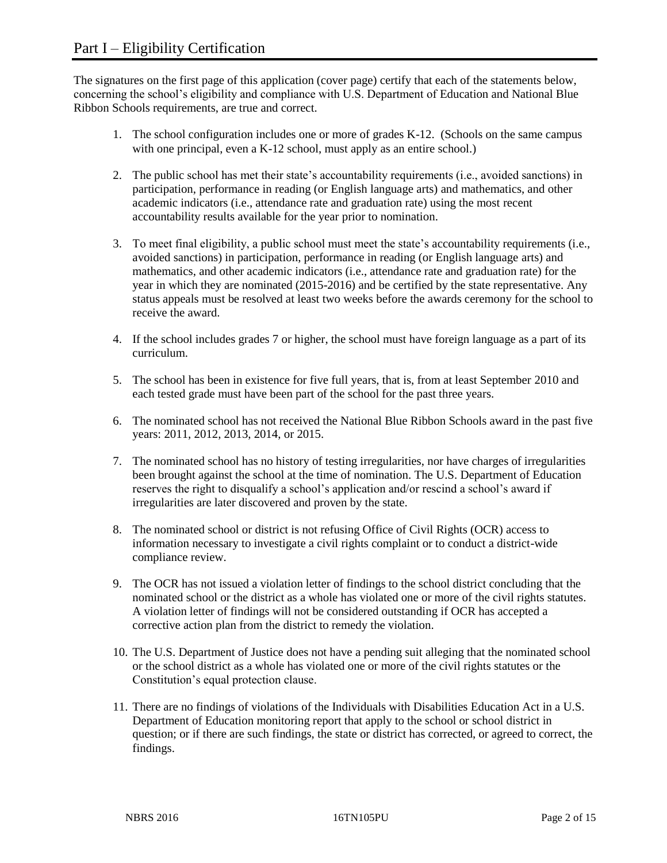The signatures on the first page of this application (cover page) certify that each of the statements below, concerning the school's eligibility and compliance with U.S. Department of Education and National Blue Ribbon Schools requirements, are true and correct.

- 1. The school configuration includes one or more of grades K-12. (Schools on the same campus with one principal, even a K-12 school, must apply as an entire school.)
- 2. The public school has met their state's accountability requirements (i.e., avoided sanctions) in participation, performance in reading (or English language arts) and mathematics, and other academic indicators (i.e., attendance rate and graduation rate) using the most recent accountability results available for the year prior to nomination.
- 3. To meet final eligibility, a public school must meet the state's accountability requirements (i.e., avoided sanctions) in participation, performance in reading (or English language arts) and mathematics, and other academic indicators (i.e., attendance rate and graduation rate) for the year in which they are nominated (2015-2016) and be certified by the state representative. Any status appeals must be resolved at least two weeks before the awards ceremony for the school to receive the award.
- 4. If the school includes grades 7 or higher, the school must have foreign language as a part of its curriculum.
- 5. The school has been in existence for five full years, that is, from at least September 2010 and each tested grade must have been part of the school for the past three years.
- 6. The nominated school has not received the National Blue Ribbon Schools award in the past five years: 2011, 2012, 2013, 2014, or 2015.
- 7. The nominated school has no history of testing irregularities, nor have charges of irregularities been brought against the school at the time of nomination. The U.S. Department of Education reserves the right to disqualify a school's application and/or rescind a school's award if irregularities are later discovered and proven by the state.
- 8. The nominated school or district is not refusing Office of Civil Rights (OCR) access to information necessary to investigate a civil rights complaint or to conduct a district-wide compliance review.
- 9. The OCR has not issued a violation letter of findings to the school district concluding that the nominated school or the district as a whole has violated one or more of the civil rights statutes. A violation letter of findings will not be considered outstanding if OCR has accepted a corrective action plan from the district to remedy the violation.
- 10. The U.S. Department of Justice does not have a pending suit alleging that the nominated school or the school district as a whole has violated one or more of the civil rights statutes or the Constitution's equal protection clause.
- 11. There are no findings of violations of the Individuals with Disabilities Education Act in a U.S. Department of Education monitoring report that apply to the school or school district in question; or if there are such findings, the state or district has corrected, or agreed to correct, the findings.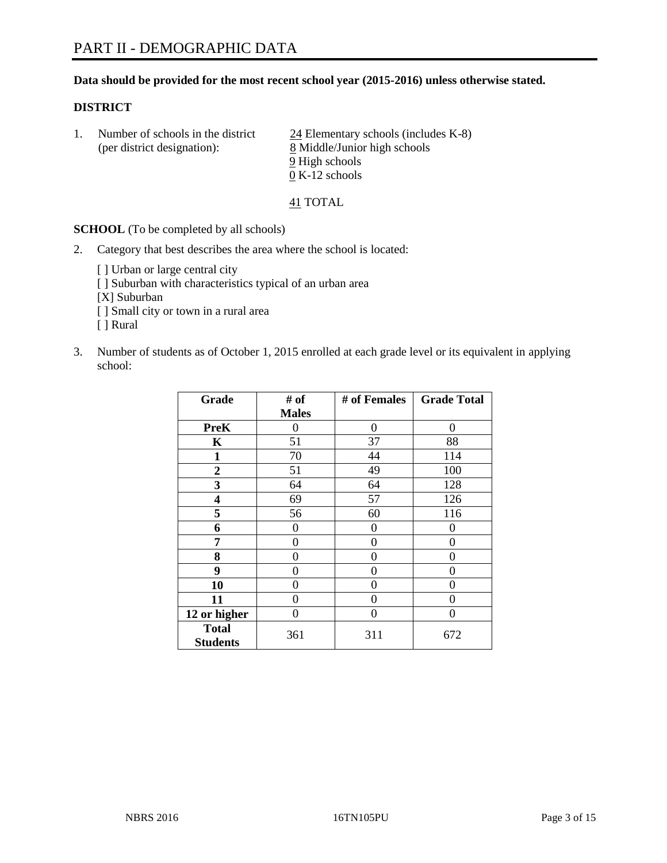#### **Data should be provided for the most recent school year (2015-2016) unless otherwise stated.**

#### **DISTRICT**

1. Number of schools in the district  $\frac{24}{24}$  Elementary schools (includes K-8) (per district designation): 8 Middle/Junior high schools 9 High schools 0 K-12 schools

41 TOTAL

**SCHOOL** (To be completed by all schools)

- 2. Category that best describes the area where the school is located:
	- [] Urban or large central city [ ] Suburban with characteristics typical of an urban area [X] Suburban [ ] Small city or town in a rural area [ ] Rural
- 3. Number of students as of October 1, 2015 enrolled at each grade level or its equivalent in applying school:

| Grade                           | # of         | # of Females | <b>Grade Total</b> |
|---------------------------------|--------------|--------------|--------------------|
|                                 | <b>Males</b> |              |                    |
| <b>PreK</b>                     | 0            | 0            | 0                  |
| K                               | 51           | 37           | 88                 |
| 1                               | 70           | 44           | 114                |
| $\overline{2}$                  | 51           | 49           | 100                |
| 3                               | 64           | 64           | 128                |
| $\overline{\mathbf{4}}$         | 69           | 57           | 126                |
| 5                               | 56           | 60           | 116                |
| 6                               | 0            | 0            | $\theta$           |
| 7                               | 0            | 0            | 0                  |
| 8                               | 0            | 0            | 0                  |
| 9                               | 0            | 0            | 0                  |
| 10                              | 0            | 0            | 0                  |
| 11                              | 0            | 0            | 0                  |
| 12 or higher                    | 0            | 0            | $\theta$           |
| <b>Total</b><br><b>Students</b> | 361          | 311          | 672                |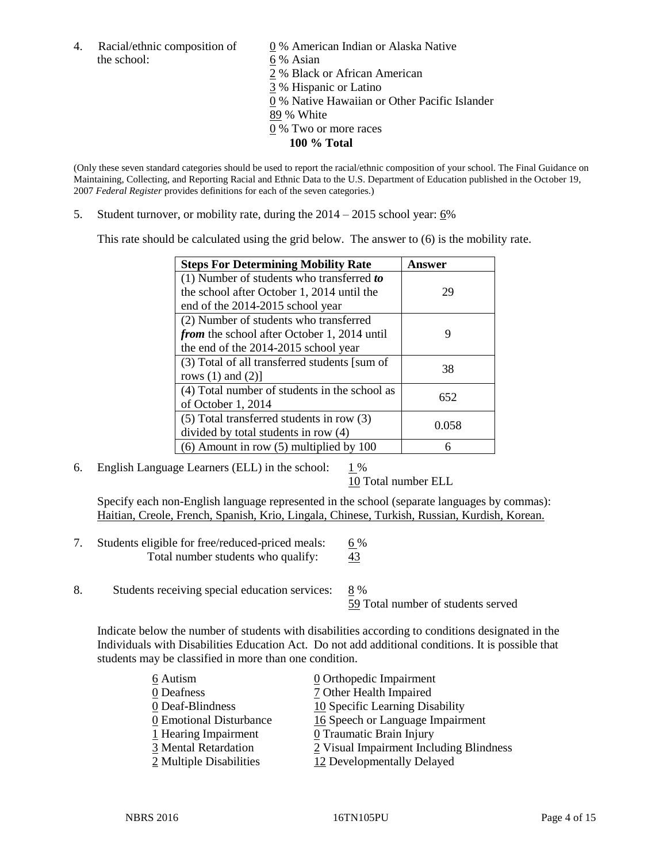the school: 6 % Asian

4. Racial/ethnic composition of  $\underline{0}$  % American Indian or Alaska Native 2 % Black or African American 3 % Hispanic or Latino 0 % Native Hawaiian or Other Pacific Islander 89 % White 0 % Two or more races **100 % Total**

(Only these seven standard categories should be used to report the racial/ethnic composition of your school. The Final Guidance on Maintaining, Collecting, and Reporting Racial and Ethnic Data to the U.S. Department of Education published in the October 19, 2007 *Federal Register* provides definitions for each of the seven categories.)

5. Student turnover, or mobility rate, during the  $2014 - 2015$  school year:  $6\%$ 

This rate should be calculated using the grid below. The answer to (6) is the mobility rate.

| <b>Steps For Determining Mobility Rate</b>    | Answer |  |
|-----------------------------------------------|--------|--|
| $(1)$ Number of students who transferred to   |        |  |
| the school after October 1, 2014 until the    | 29     |  |
| end of the 2014-2015 school year              |        |  |
| (2) Number of students who transferred        |        |  |
| from the school after October 1, 2014 until   | 9      |  |
| the end of the 2014-2015 school year          |        |  |
| (3) Total of all transferred students [sum of | 38     |  |
| rows $(1)$ and $(2)$ ]                        |        |  |
| (4) Total number of students in the school as | 652    |  |
| of October 1, 2014                            |        |  |
| (5) Total transferred students in row (3)     | 0.058  |  |
| divided by total students in row (4)          |        |  |
| $(6)$ Amount in row $(5)$ multiplied by 100   |        |  |

6. English Language Learners (ELL) in the school:  $1\%$ 

10 Total number ELL

Specify each non-English language represented in the school (separate languages by commas): Haitian, Creole, French, Spanish, Krio, Lingala, Chinese, Turkish, Russian, Kurdish, Korean.

- 7. Students eligible for free/reduced-priced meals: 6 % Total number students who qualify:  $\frac{43}{2}$
- 8. Students receiving special education services: 8 %

59 Total number of students served

Indicate below the number of students with disabilities according to conditions designated in the Individuals with Disabilities Education Act. Do not add additional conditions. It is possible that students may be classified in more than one condition.

| 6 Autism                | $\underline{0}$ Orthopedic Impairment   |
|-------------------------|-----------------------------------------|
| 0 Deafness              | 7 Other Health Impaired                 |
| 0 Deaf-Blindness        | 10 Specific Learning Disability         |
| 0 Emotional Disturbance | 16 Speech or Language Impairment        |
| 1 Hearing Impairment    | 0 Traumatic Brain Injury                |
| 3 Mental Retardation    | 2 Visual Impairment Including Blindness |
| 2 Multiple Disabilities | 12 Developmentally Delayed              |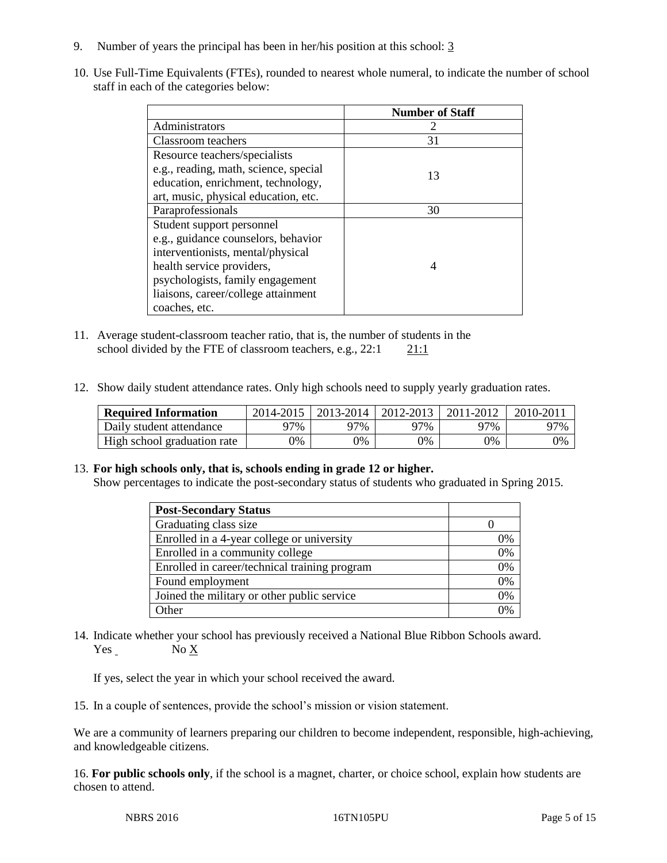- 9. Number of years the principal has been in her/his position at this school: 3
- 10. Use Full-Time Equivalents (FTEs), rounded to nearest whole numeral, to indicate the number of school staff in each of the categories below:

|                                       | <b>Number of Staff</b> |
|---------------------------------------|------------------------|
| Administrators                        |                        |
| Classroom teachers                    | 31                     |
| Resource teachers/specialists         |                        |
| e.g., reading, math, science, special | 13                     |
| education, enrichment, technology,    |                        |
| art, music, physical education, etc.  |                        |
| Paraprofessionals                     | 30                     |
| Student support personnel             |                        |
| e.g., guidance counselors, behavior   |                        |
| interventionists, mental/physical     |                        |
| health service providers,             |                        |
| psychologists, family engagement      |                        |
| liaisons, career/college attainment   |                        |
| coaches, etc.                         |                        |

- 11. Average student-classroom teacher ratio, that is, the number of students in the school divided by the FTE of classroom teachers, e.g.,  $22:1$  21:1
- 12. Show daily student attendance rates. Only high schools need to supply yearly graduation rates.

| <b>Required Information</b> | 2014-2015 | $2013 - 2014$ | 2012-2013 | 2011-2012 | $2010 - 201$ |
|-----------------------------|-----------|---------------|-----------|-----------|--------------|
| Daily student attendance    | 77%       | 97%           | 97%       | 97%       | 97%          |
| High school graduation rate | 0%        | $\gamma\%$    | 9%        | 9%        | 0%           |

#### 13. **For high schools only, that is, schools ending in grade 12 or higher.**

Show percentages to indicate the post-secondary status of students who graduated in Spring 2015.

| <b>Post-Secondary Status</b>                  |                |
|-----------------------------------------------|----------------|
| Graduating class size                         |                |
| Enrolled in a 4-year college or university    | 0%             |
| Enrolled in a community college               | 0%             |
| Enrolled in career/technical training program | 0%             |
| Found employment                              | 0%             |
| Joined the military or other public service   | 0%             |
| Other                                         | $\frac{10}{6}$ |

14. Indicate whether your school has previously received a National Blue Ribbon Schools award. Yes No X

If yes, select the year in which your school received the award.

15. In a couple of sentences, provide the school's mission or vision statement.

We are a community of learners preparing our children to become independent, responsible, high-achieving, and knowledgeable citizens.

16. **For public schools only**, if the school is a magnet, charter, or choice school, explain how students are chosen to attend.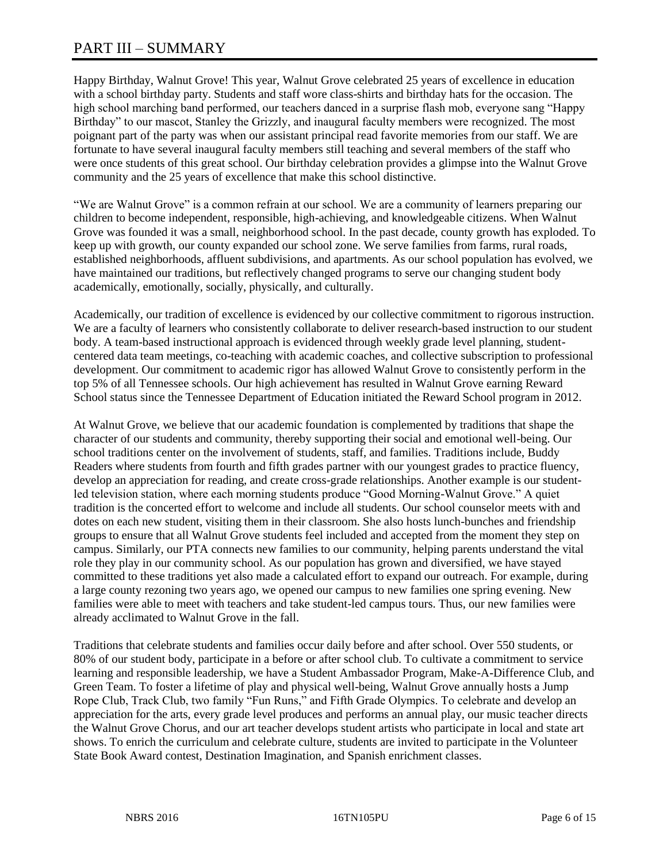# PART III – SUMMARY

Happy Birthday, Walnut Grove! This year, Walnut Grove celebrated 25 years of excellence in education with a school birthday party. Students and staff wore class-shirts and birthday hats for the occasion. The high school marching band performed, our teachers danced in a surprise flash mob, everyone sang "Happy Birthday" to our mascot, Stanley the Grizzly, and inaugural faculty members were recognized. The most poignant part of the party was when our assistant principal read favorite memories from our staff. We are fortunate to have several inaugural faculty members still teaching and several members of the staff who were once students of this great school. Our birthday celebration provides a glimpse into the Walnut Grove community and the 25 years of excellence that make this school distinctive.

"We are Walnut Grove" is a common refrain at our school. We are a community of learners preparing our children to become independent, responsible, high-achieving, and knowledgeable citizens. When Walnut Grove was founded it was a small, neighborhood school. In the past decade, county growth has exploded. To keep up with growth, our county expanded our school zone. We serve families from farms, rural roads, established neighborhoods, affluent subdivisions, and apartments. As our school population has evolved, we have maintained our traditions, but reflectively changed programs to serve our changing student body academically, emotionally, socially, physically, and culturally.

Academically, our tradition of excellence is evidenced by our collective commitment to rigorous instruction. We are a faculty of learners who consistently collaborate to deliver research-based instruction to our student body. A team-based instructional approach is evidenced through weekly grade level planning, studentcentered data team meetings, co-teaching with academic coaches, and collective subscription to professional development. Our commitment to academic rigor has allowed Walnut Grove to consistently perform in the top 5% of all Tennessee schools. Our high achievement has resulted in Walnut Grove earning Reward School status since the Tennessee Department of Education initiated the Reward School program in 2012.

At Walnut Grove, we believe that our academic foundation is complemented by traditions that shape the character of our students and community, thereby supporting their social and emotional well-being. Our school traditions center on the involvement of students, staff, and families. Traditions include, Buddy Readers where students from fourth and fifth grades partner with our youngest grades to practice fluency, develop an appreciation for reading, and create cross-grade relationships. Another example is our studentled television station, where each morning students produce "Good Morning-Walnut Grove." A quiet tradition is the concerted effort to welcome and include all students. Our school counselor meets with and dotes on each new student, visiting them in their classroom. She also hosts lunch-bunches and friendship groups to ensure that all Walnut Grove students feel included and accepted from the moment they step on campus. Similarly, our PTA connects new families to our community, helping parents understand the vital role they play in our community school. As our population has grown and diversified, we have stayed committed to these traditions yet also made a calculated effort to expand our outreach. For example, during a large county rezoning two years ago, we opened our campus to new families one spring evening. New families were able to meet with teachers and take student-led campus tours. Thus, our new families were already acclimated to Walnut Grove in the fall.

Traditions that celebrate students and families occur daily before and after school. Over 550 students, or 80% of our student body, participate in a before or after school club. To cultivate a commitment to service learning and responsible leadership, we have a Student Ambassador Program, Make-A-Difference Club, and Green Team. To foster a lifetime of play and physical well-being, Walnut Grove annually hosts a Jump Rope Club, Track Club, two family "Fun Runs," and Fifth Grade Olympics. To celebrate and develop an appreciation for the arts, every grade level produces and performs an annual play, our music teacher directs the Walnut Grove Chorus, and our art teacher develops student artists who participate in local and state art shows. To enrich the curriculum and celebrate culture, students are invited to participate in the Volunteer State Book Award contest, Destination Imagination, and Spanish enrichment classes.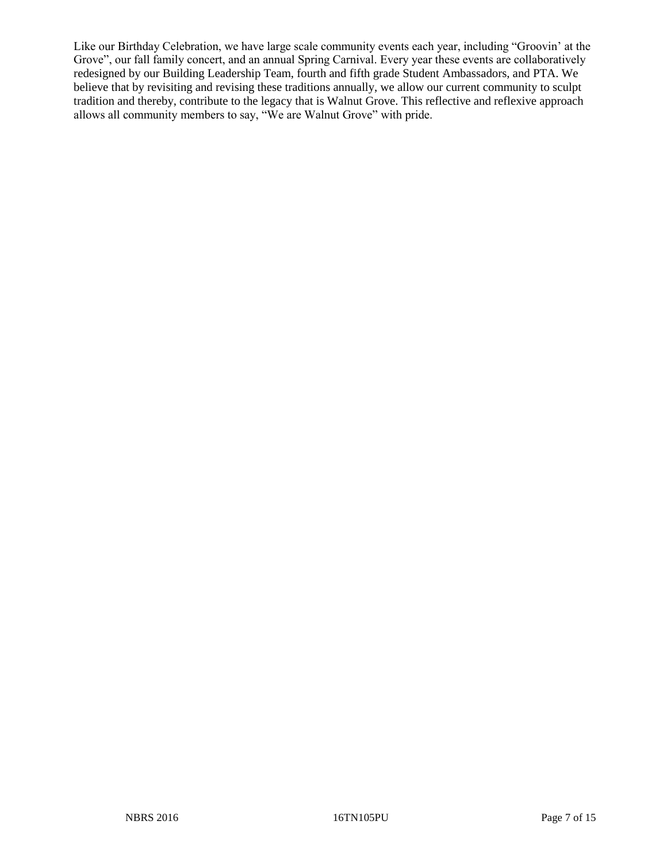Like our Birthday Celebration, we have large scale community events each year, including "Groovin' at the Grove", our fall family concert, and an annual Spring Carnival. Every year these events are collaboratively redesigned by our Building Leadership Team, fourth and fifth grade Student Ambassadors, and PTA. We believe that by revisiting and revising these traditions annually, we allow our current community to sculpt tradition and thereby, contribute to the legacy that is Walnut Grove. This reflective and reflexive approach allows all community members to say, "We are Walnut Grove" with pride.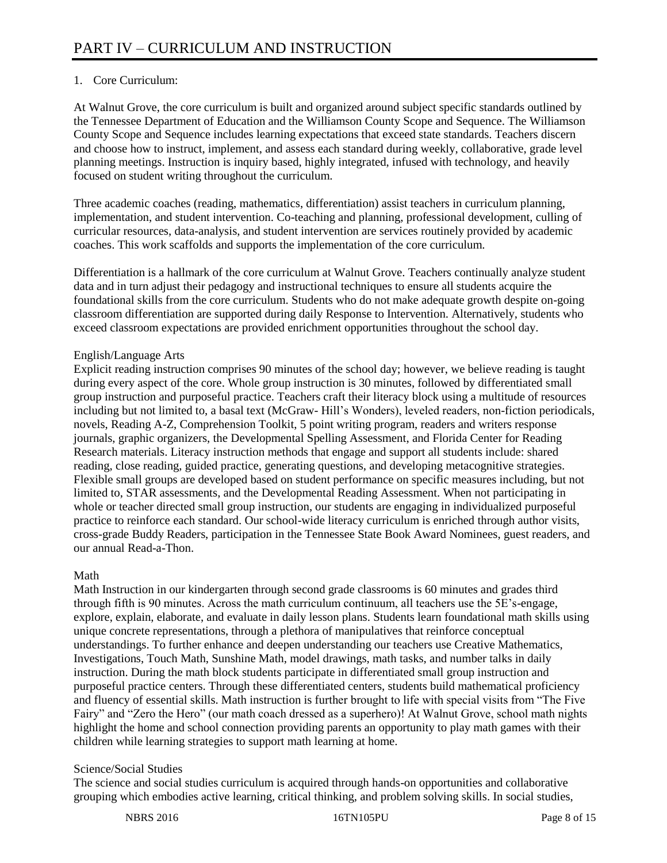# 1. Core Curriculum:

At Walnut Grove, the core curriculum is built and organized around subject specific standards outlined by the Tennessee Department of Education and the Williamson County Scope and Sequence. The Williamson County Scope and Sequence includes learning expectations that exceed state standards. Teachers discern and choose how to instruct, implement, and assess each standard during weekly, collaborative, grade level planning meetings. Instruction is inquiry based, highly integrated, infused with technology, and heavily focused on student writing throughout the curriculum.

Three academic coaches (reading, mathematics, differentiation) assist teachers in curriculum planning, implementation, and student intervention. Co-teaching and planning, professional development, culling of curricular resources, data-analysis, and student intervention are services routinely provided by academic coaches. This work scaffolds and supports the implementation of the core curriculum.

Differentiation is a hallmark of the core curriculum at Walnut Grove. Teachers continually analyze student data and in turn adjust their pedagogy and instructional techniques to ensure all students acquire the foundational skills from the core curriculum. Students who do not make adequate growth despite on-going classroom differentiation are supported during daily Response to Intervention. Alternatively, students who exceed classroom expectations are provided enrichment opportunities throughout the school day.

## English/Language Arts

Explicit reading instruction comprises 90 minutes of the school day; however, we believe reading is taught during every aspect of the core. Whole group instruction is 30 minutes, followed by differentiated small group instruction and purposeful practice. Teachers craft their literacy block using a multitude of resources including but not limited to, a basal text (McGraw- Hill's Wonders), leveled readers, non-fiction periodicals, novels, Reading A-Z, Comprehension Toolkit, 5 point writing program, readers and writers response journals, graphic organizers, the Developmental Spelling Assessment, and Florida Center for Reading Research materials. Literacy instruction methods that engage and support all students include: shared reading, close reading, guided practice, generating questions, and developing metacognitive strategies. Flexible small groups are developed based on student performance on specific measures including, but not limited to, STAR assessments, and the Developmental Reading Assessment. When not participating in whole or teacher directed small group instruction, our students are engaging in individualized purposeful practice to reinforce each standard. Our school-wide literacy curriculum is enriched through author visits, cross-grade Buddy Readers, participation in the Tennessee State Book Award Nominees, guest readers, and our annual Read-a-Thon.

# Math

Math Instruction in our kindergarten through second grade classrooms is 60 minutes and grades third through fifth is 90 minutes. Across the math curriculum continuum, all teachers use the 5E's-engage, explore, explain, elaborate, and evaluate in daily lesson plans. Students learn foundational math skills using unique concrete representations, through a plethora of manipulatives that reinforce conceptual understandings. To further enhance and deepen understanding our teachers use Creative Mathematics, Investigations, Touch Math, Sunshine Math, model drawings, math tasks, and number talks in daily instruction. During the math block students participate in differentiated small group instruction and purposeful practice centers. Through these differentiated centers, students build mathematical proficiency and fluency of essential skills. Math instruction is further brought to life with special visits from "The Five Fairy" and "Zero the Hero" (our math coach dressed as a superhero)! At Walnut Grove, school math nights highlight the home and school connection providing parents an opportunity to play math games with their children while learning strategies to support math learning at home.

# Science/Social Studies

The science and social studies curriculum is acquired through hands-on opportunities and collaborative grouping which embodies active learning, critical thinking, and problem solving skills. In social studies,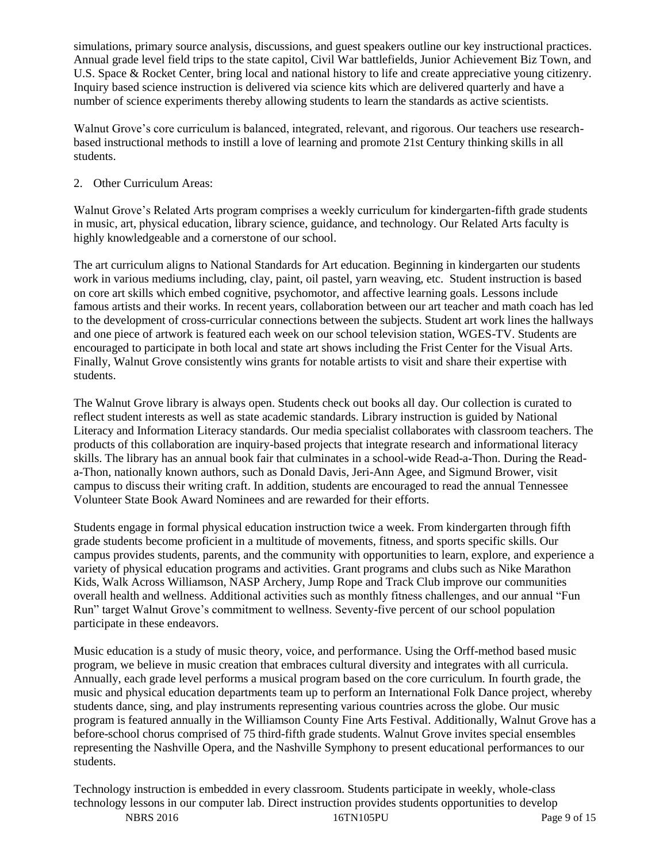simulations, primary source analysis, discussions, and guest speakers outline our key instructional practices. Annual grade level field trips to the state capitol, Civil War battlefields, Junior Achievement Biz Town, and U.S. Space & Rocket Center, bring local and national history to life and create appreciative young citizenry. Inquiry based science instruction is delivered via science kits which are delivered quarterly and have a number of science experiments thereby allowing students to learn the standards as active scientists.

Walnut Grove's core curriculum is balanced, integrated, relevant, and rigorous. Our teachers use researchbased instructional methods to instill a love of learning and promote 21st Century thinking skills in all students.

# 2. Other Curriculum Areas:

Walnut Grove's Related Arts program comprises a weekly curriculum for kindergarten-fifth grade students in music, art, physical education, library science, guidance, and technology. Our Related Arts faculty is highly knowledgeable and a cornerstone of our school.

The art curriculum aligns to National Standards for Art education. Beginning in kindergarten our students work in various mediums including, clay, paint, oil pastel, yarn weaving, etc. Student instruction is based on core art skills which embed cognitive, psychomotor, and affective learning goals. Lessons include famous artists and their works. In recent years, collaboration between our art teacher and math coach has led to the development of cross-curricular connections between the subjects. Student art work lines the hallways and one piece of artwork is featured each week on our school television station, WGES-TV. Students are encouraged to participate in both local and state art shows including the Frist Center for the Visual Arts. Finally, Walnut Grove consistently wins grants for notable artists to visit and share their expertise with students.

The Walnut Grove library is always open. Students check out books all day. Our collection is curated to reflect student interests as well as state academic standards. Library instruction is guided by National Literacy and Information Literacy standards. Our media specialist collaborates with classroom teachers. The products of this collaboration are inquiry-based projects that integrate research and informational literacy skills. The library has an annual book fair that culminates in a school-wide Read-a-Thon. During the Reada-Thon, nationally known authors, such as Donald Davis, Jeri-Ann Agee, and Sigmund Brower, visit campus to discuss their writing craft. In addition, students are encouraged to read the annual Tennessee Volunteer State Book Award Nominees and are rewarded for their efforts.

Students engage in formal physical education instruction twice a week. From kindergarten through fifth grade students become proficient in a multitude of movements, fitness, and sports specific skills. Our campus provides students, parents, and the community with opportunities to learn, explore, and experience a variety of physical education programs and activities. Grant programs and clubs such as Nike Marathon Kids, Walk Across Williamson, NASP Archery, Jump Rope and Track Club improve our communities overall health and wellness. Additional activities such as monthly fitness challenges, and our annual "Fun Run" target Walnut Grove's commitment to wellness. Seventy-five percent of our school population participate in these endeavors.

Music education is a study of music theory, voice, and performance. Using the Orff-method based music program, we believe in music creation that embraces cultural diversity and integrates with all curricula. Annually, each grade level performs a musical program based on the core curriculum. In fourth grade, the music and physical education departments team up to perform an International Folk Dance project, whereby students dance, sing, and play instruments representing various countries across the globe. Our music program is featured annually in the Williamson County Fine Arts Festival. Additionally, Walnut Grove has a before-school chorus comprised of 75 third-fifth grade students. Walnut Grove invites special ensembles representing the Nashville Opera, and the Nashville Symphony to present educational performances to our students.

Technology instruction is embedded in every classroom. Students participate in weekly, whole-class technology lessons in our computer lab. Direct instruction provides students opportunities to develop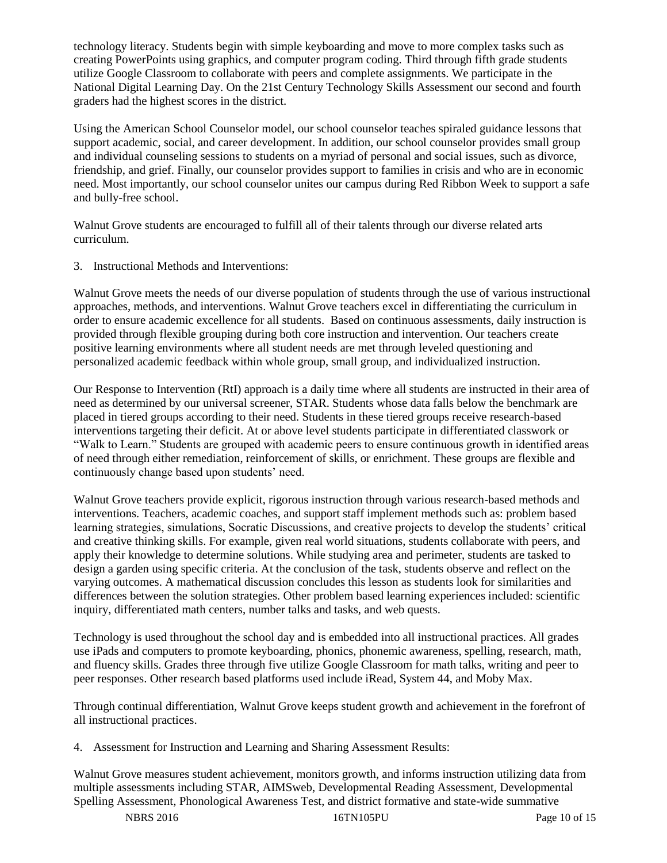technology literacy. Students begin with simple keyboarding and move to more complex tasks such as creating PowerPoints using graphics, and computer program coding. Third through fifth grade students utilize Google Classroom to collaborate with peers and complete assignments. We participate in the National Digital Learning Day. On the 21st Century Technology Skills Assessment our second and fourth graders had the highest scores in the district.

Using the American School Counselor model, our school counselor teaches spiraled guidance lessons that support academic, social, and career development. In addition, our school counselor provides small group and individual counseling sessions to students on a myriad of personal and social issues, such as divorce, friendship, and grief. Finally, our counselor provides support to families in crisis and who are in economic need. Most importantly, our school counselor unites our campus during Red Ribbon Week to support a safe and bully-free school.

Walnut Grove students are encouraged to fulfill all of their talents through our diverse related arts curriculum.

3. Instructional Methods and Interventions:

Walnut Grove meets the needs of our diverse population of students through the use of various instructional approaches, methods, and interventions. Walnut Grove teachers excel in differentiating the curriculum in order to ensure academic excellence for all students. Based on continuous assessments, daily instruction is provided through flexible grouping during both core instruction and intervention. Our teachers create positive learning environments where all student needs are met through leveled questioning and personalized academic feedback within whole group, small group, and individualized instruction.

Our Response to Intervention (RtI) approach is a daily time where all students are instructed in their area of need as determined by our universal screener, STAR. Students whose data falls below the benchmark are placed in tiered groups according to their need. Students in these tiered groups receive research-based interventions targeting their deficit. At or above level students participate in differentiated classwork or "Walk to Learn." Students are grouped with academic peers to ensure continuous growth in identified areas of need through either remediation, reinforcement of skills, or enrichment. These groups are flexible and continuously change based upon students' need.

Walnut Grove teachers provide explicit, rigorous instruction through various research-based methods and interventions. Teachers, academic coaches, and support staff implement methods such as: problem based learning strategies, simulations, Socratic Discussions, and creative projects to develop the students' critical and creative thinking skills. For example, given real world situations, students collaborate with peers, and apply their knowledge to determine solutions. While studying area and perimeter, students are tasked to design a garden using specific criteria. At the conclusion of the task, students observe and reflect on the varying outcomes. A mathematical discussion concludes this lesson as students look for similarities and differences between the solution strategies. Other problem based learning experiences included: scientific inquiry, differentiated math centers, number talks and tasks, and web quests.

Technology is used throughout the school day and is embedded into all instructional practices. All grades use iPads and computers to promote keyboarding, phonics, phonemic awareness, spelling, research, math, and fluency skills. Grades three through five utilize Google Classroom for math talks, writing and peer to peer responses. Other research based platforms used include iRead, System 44, and Moby Max.

Through continual differentiation, Walnut Grove keeps student growth and achievement in the forefront of all instructional practices.

4. Assessment for Instruction and Learning and Sharing Assessment Results:

Walnut Grove measures student achievement, monitors growth, and informs instruction utilizing data from multiple assessments including STAR, AIMSweb, Developmental Reading Assessment, Developmental Spelling Assessment, Phonological Awareness Test, and district formative and state-wide summative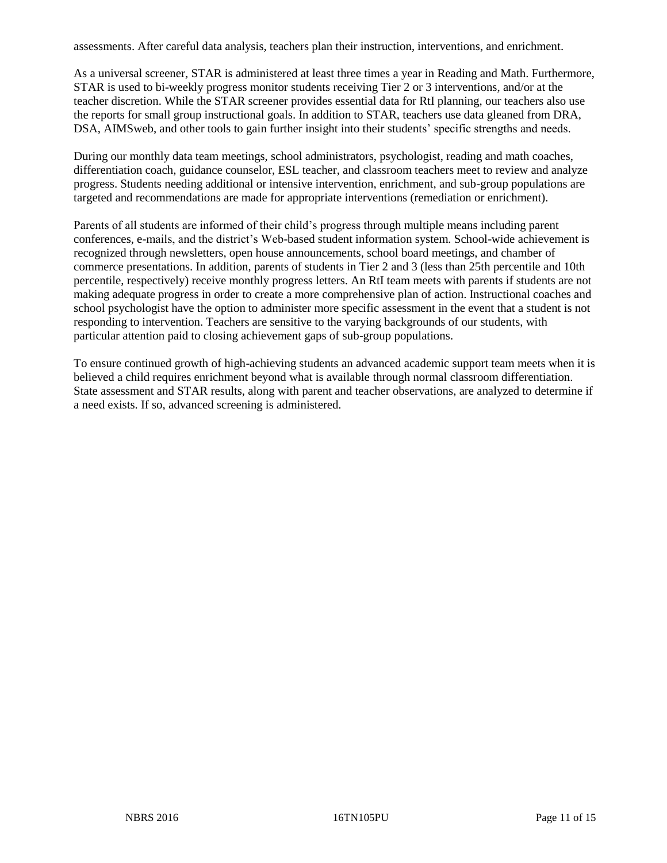assessments. After careful data analysis, teachers plan their instruction, interventions, and enrichment.

As a universal screener, STAR is administered at least three times a year in Reading and Math. Furthermore, STAR is used to bi-weekly progress monitor students receiving Tier 2 or 3 interventions, and/or at the teacher discretion. While the STAR screener provides essential data for RtI planning, our teachers also use the reports for small group instructional goals. In addition to STAR, teachers use data gleaned from DRA, DSA, AIMSweb, and other tools to gain further insight into their students' specific strengths and needs.

During our monthly data team meetings, school administrators, psychologist, reading and math coaches, differentiation coach, guidance counselor, ESL teacher, and classroom teachers meet to review and analyze progress. Students needing additional or intensive intervention, enrichment, and sub-group populations are targeted and recommendations are made for appropriate interventions (remediation or enrichment).

Parents of all students are informed of their child's progress through multiple means including parent conferences, e-mails, and the district's Web-based student information system. School-wide achievement is recognized through newsletters, open house announcements, school board meetings, and chamber of commerce presentations. In addition, parents of students in Tier 2 and 3 (less than 25th percentile and 10th percentile, respectively) receive monthly progress letters. An RtI team meets with parents if students are not making adequate progress in order to create a more comprehensive plan of action. Instructional coaches and school psychologist have the option to administer more specific assessment in the event that a student is not responding to intervention. Teachers are sensitive to the varying backgrounds of our students, with particular attention paid to closing achievement gaps of sub-group populations.

To ensure continued growth of high-achieving students an advanced academic support team meets when it is believed a child requires enrichment beyond what is available through normal classroom differentiation. State assessment and STAR results, along with parent and teacher observations, are analyzed to determine if a need exists. If so, advanced screening is administered.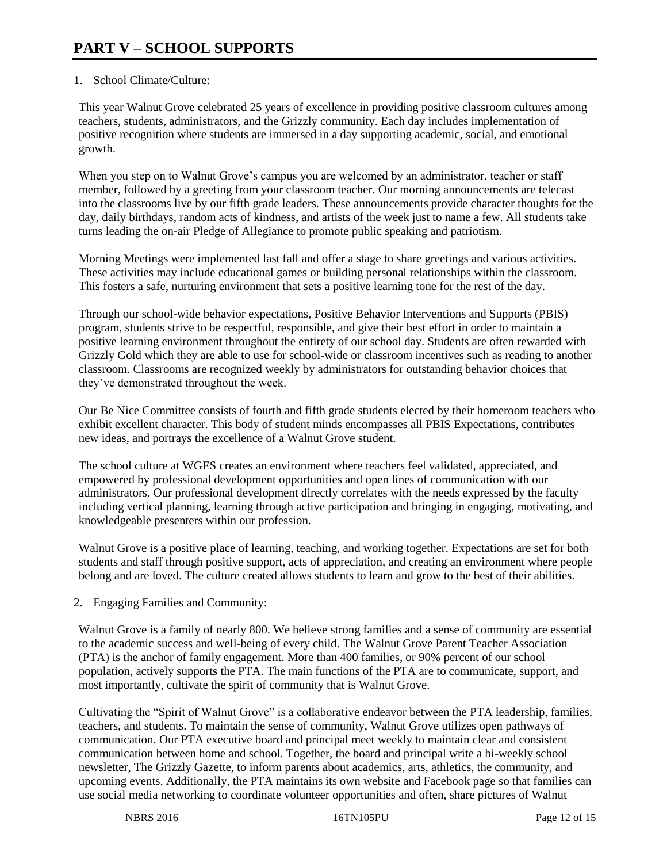# 1. School Climate/Culture:

This year Walnut Grove celebrated 25 years of excellence in providing positive classroom cultures among teachers, students, administrators, and the Grizzly community. Each day includes implementation of positive recognition where students are immersed in a day supporting academic, social, and emotional growth.

When you step on to Walnut Grove's campus you are welcomed by an administrator, teacher or staff member, followed by a greeting from your classroom teacher. Our morning announcements are telecast into the classrooms live by our fifth grade leaders. These announcements provide character thoughts for the day, daily birthdays, random acts of kindness, and artists of the week just to name a few. All students take turns leading the on-air Pledge of Allegiance to promote public speaking and patriotism.

Morning Meetings were implemented last fall and offer a stage to share greetings and various activities. These activities may include educational games or building personal relationships within the classroom. This fosters a safe, nurturing environment that sets a positive learning tone for the rest of the day.

Through our school-wide behavior expectations, Positive Behavior Interventions and Supports (PBIS) program, students strive to be respectful, responsible, and give their best effort in order to maintain a positive learning environment throughout the entirety of our school day. Students are often rewarded with Grizzly Gold which they are able to use for school-wide or classroom incentives such as reading to another classroom. Classrooms are recognized weekly by administrators for outstanding behavior choices that they've demonstrated throughout the week.

Our Be Nice Committee consists of fourth and fifth grade students elected by their homeroom teachers who exhibit excellent character. This body of student minds encompasses all PBIS Expectations, contributes new ideas, and portrays the excellence of a Walnut Grove student.

The school culture at WGES creates an environment where teachers feel validated, appreciated, and empowered by professional development opportunities and open lines of communication with our administrators. Our professional development directly correlates with the needs expressed by the faculty including vertical planning, learning through active participation and bringing in engaging, motivating, and knowledgeable presenters within our profession.

Walnut Grove is a positive place of learning, teaching, and working together. Expectations are set for both students and staff through positive support, acts of appreciation, and creating an environment where people belong and are loved. The culture created allows students to learn and grow to the best of their abilities.

2. Engaging Families and Community:

Walnut Grove is a family of nearly 800. We believe strong families and a sense of community are essential to the academic success and well-being of every child. The Walnut Grove Parent Teacher Association (PTA) is the anchor of family engagement. More than 400 families, or 90% percent of our school population, actively supports the PTA. The main functions of the PTA are to communicate, support, and most importantly, cultivate the spirit of community that is Walnut Grove.

Cultivating the "Spirit of Walnut Grove" is a collaborative endeavor between the PTA leadership, families, teachers, and students. To maintain the sense of community, Walnut Grove utilizes open pathways of communication. Our PTA executive board and principal meet weekly to maintain clear and consistent communication between home and school. Together, the board and principal write a bi-weekly school newsletter, The Grizzly Gazette, to inform parents about academics, arts, athletics, the community, and upcoming events. Additionally, the PTA maintains its own website and Facebook page so that families can use social media networking to coordinate volunteer opportunities and often, share pictures of Walnut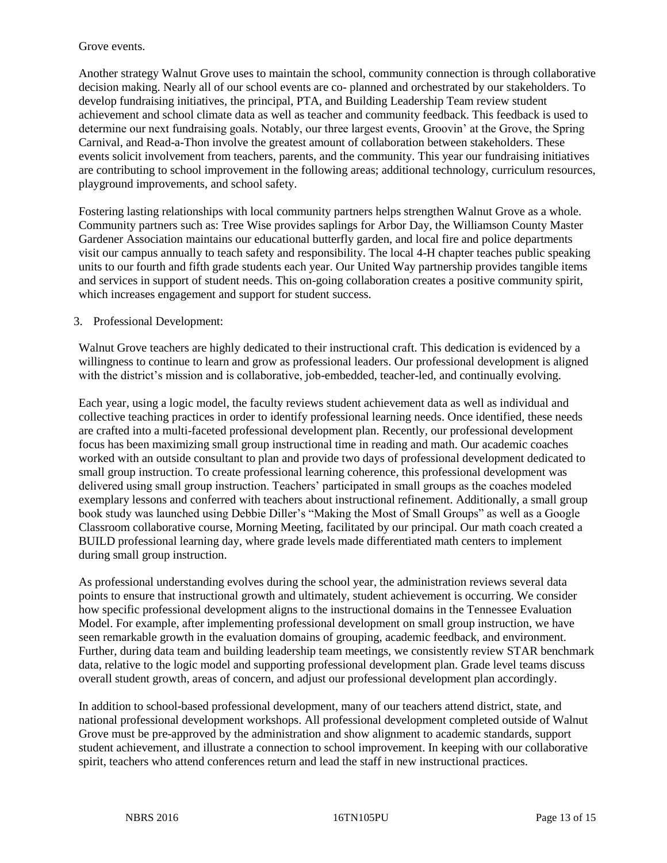#### Grove events.

Another strategy Walnut Grove uses to maintain the school, community connection is through collaborative decision making. Nearly all of our school events are co- planned and orchestrated by our stakeholders. To develop fundraising initiatives, the principal, PTA, and Building Leadership Team review student achievement and school climate data as well as teacher and community feedback. This feedback is used to determine our next fundraising goals. Notably, our three largest events, Groovin' at the Grove, the Spring Carnival, and Read-a-Thon involve the greatest amount of collaboration between stakeholders. These events solicit involvement from teachers, parents, and the community. This year our fundraising initiatives are contributing to school improvement in the following areas; additional technology, curriculum resources, playground improvements, and school safety.

Fostering lasting relationships with local community partners helps strengthen Walnut Grove as a whole. Community partners such as: Tree Wise provides saplings for Arbor Day, the Williamson County Master Gardener Association maintains our educational butterfly garden, and local fire and police departments visit our campus annually to teach safety and responsibility. The local 4-H chapter teaches public speaking units to our fourth and fifth grade students each year. Our United Way partnership provides tangible items and services in support of student needs. This on-going collaboration creates a positive community spirit, which increases engagement and support for student success.

#### 3. Professional Development:

Walnut Grove teachers are highly dedicated to their instructional craft. This dedication is evidenced by a willingness to continue to learn and grow as professional leaders. Our professional development is aligned with the district's mission and is collaborative, job-embedded, teacher-led, and continually evolving.

Each year, using a logic model, the faculty reviews student achievement data as well as individual and collective teaching practices in order to identify professional learning needs. Once identified, these needs are crafted into a multi-faceted professional development plan. Recently, our professional development focus has been maximizing small group instructional time in reading and math. Our academic coaches worked with an outside consultant to plan and provide two days of professional development dedicated to small group instruction. To create professional learning coherence, this professional development was delivered using small group instruction. Teachers' participated in small groups as the coaches modeled exemplary lessons and conferred with teachers about instructional refinement. Additionally, a small group book study was launched using Debbie Diller's "Making the Most of Small Groups" as well as a Google Classroom collaborative course, Morning Meeting, facilitated by our principal. Our math coach created a BUILD professional learning day, where grade levels made differentiated math centers to implement during small group instruction.

As professional understanding evolves during the school year, the administration reviews several data points to ensure that instructional growth and ultimately, student achievement is occurring. We consider how specific professional development aligns to the instructional domains in the Tennessee Evaluation Model. For example, after implementing professional development on small group instruction, we have seen remarkable growth in the evaluation domains of grouping, academic feedback, and environment. Further, during data team and building leadership team meetings, we consistently review STAR benchmark data, relative to the logic model and supporting professional development plan. Grade level teams discuss overall student growth, areas of concern, and adjust our professional development plan accordingly.

In addition to school-based professional development, many of our teachers attend district, state, and national professional development workshops. All professional development completed outside of Walnut Grove must be pre-approved by the administration and show alignment to academic standards, support student achievement, and illustrate a connection to school improvement. In keeping with our collaborative spirit, teachers who attend conferences return and lead the staff in new instructional practices.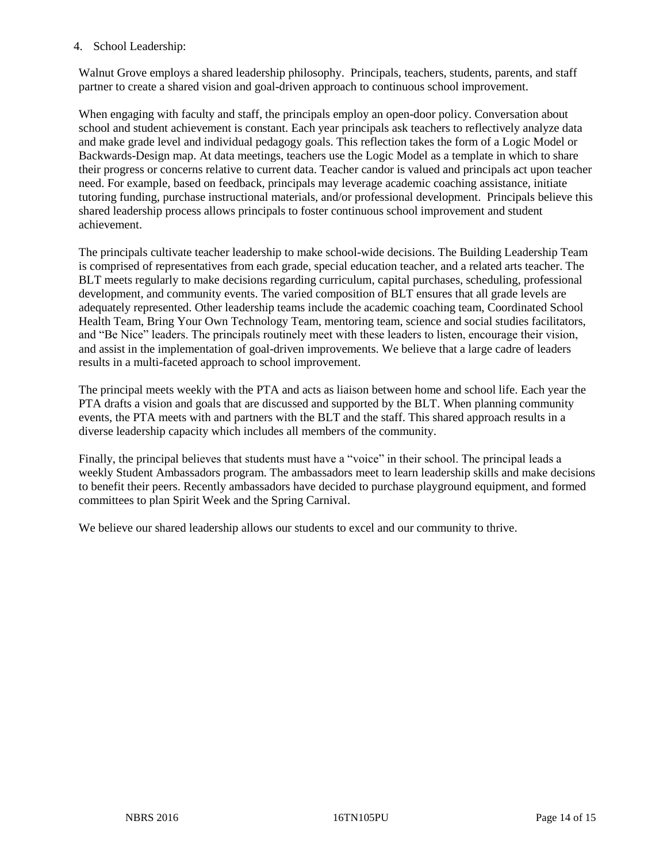#### 4. School Leadership:

Walnut Grove employs a shared leadership philosophy. Principals, teachers, students, parents, and staff partner to create a shared vision and goal-driven approach to continuous school improvement.

When engaging with faculty and staff, the principals employ an open-door policy. Conversation about school and student achievement is constant. Each year principals ask teachers to reflectively analyze data and make grade level and individual pedagogy goals. This reflection takes the form of a Logic Model or Backwards-Design map. At data meetings, teachers use the Logic Model as a template in which to share their progress or concerns relative to current data. Teacher candor is valued and principals act upon teacher need. For example, based on feedback, principals may leverage academic coaching assistance, initiate tutoring funding, purchase instructional materials, and/or professional development. Principals believe this shared leadership process allows principals to foster continuous school improvement and student achievement.

The principals cultivate teacher leadership to make school-wide decisions. The Building Leadership Team is comprised of representatives from each grade, special education teacher, and a related arts teacher. The BLT meets regularly to make decisions regarding curriculum, capital purchases, scheduling, professional development, and community events. The varied composition of BLT ensures that all grade levels are adequately represented. Other leadership teams include the academic coaching team, Coordinated School Health Team, Bring Your Own Technology Team, mentoring team, science and social studies facilitators, and "Be Nice" leaders. The principals routinely meet with these leaders to listen, encourage their vision, and assist in the implementation of goal-driven improvements. We believe that a large cadre of leaders results in a multi-faceted approach to school improvement.

The principal meets weekly with the PTA and acts as liaison between home and school life. Each year the PTA drafts a vision and goals that are discussed and supported by the BLT. When planning community events, the PTA meets with and partners with the BLT and the staff. This shared approach results in a diverse leadership capacity which includes all members of the community.

Finally, the principal believes that students must have a "voice" in their school. The principal leads a weekly Student Ambassadors program. The ambassadors meet to learn leadership skills and make decisions to benefit their peers. Recently ambassadors have decided to purchase playground equipment, and formed committees to plan Spirit Week and the Spring Carnival.

We believe our shared leadership allows our students to excel and our community to thrive.